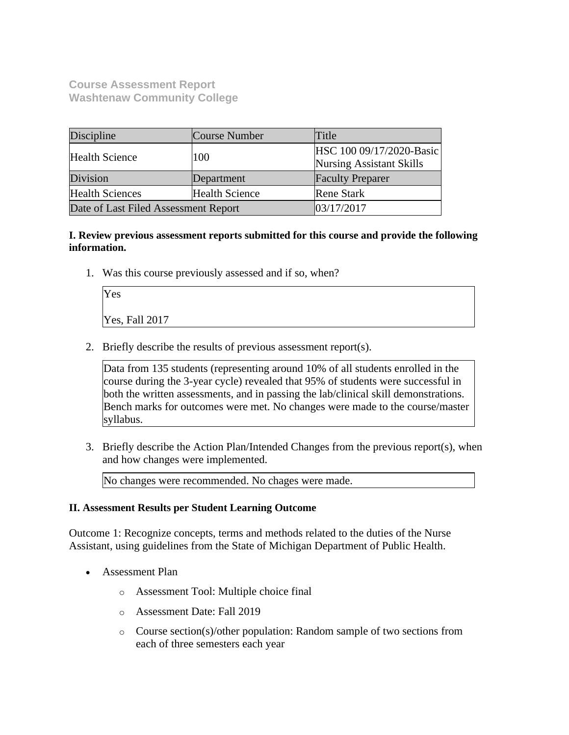**Course Assessment Report Washtenaw Community College**

| Discipline                                      | Course Number                                                      | Title                   |
|-------------------------------------------------|--------------------------------------------------------------------|-------------------------|
| <b>Health Science</b>                           | HSC 100 09/17/2020-Basic<br>100<br><b>Nursing Assistant Skills</b> |                         |
| Division                                        | Department                                                         | <b>Faculty Preparer</b> |
| <b>Health Sciences</b><br><b>Health Science</b> |                                                                    | <b>Rene Stark</b>       |
| Date of Last Filed Assessment Report            |                                                                    | 03/17/2017              |

**I. Review previous assessment reports submitted for this course and provide the following information.**

1. Was this course previously assessed and if so, when?

| Yes            |  |  |
|----------------|--|--|
| Yes, Fall 2017 |  |  |

2. Briefly describe the results of previous assessment report(s).

Data from 135 students (representing around 10% of all students enrolled in the course during the 3-year cycle) revealed that 95% of students were successful in both the written assessments, and in passing the lab/clinical skill demonstrations. Bench marks for outcomes were met. No changes were made to the course/master syllabus.

3. Briefly describe the Action Plan/Intended Changes from the previous report(s), when and how changes were implemented.

No changes were recommended. No chages were made.

### **II. Assessment Results per Student Learning Outcome**

Outcome 1: Recognize concepts, terms and methods related to the duties of the Nurse Assistant, using guidelines from the State of Michigan Department of Public Health.

- Assessment Plan
	- o Assessment Tool: Multiple choice final
	- o Assessment Date: Fall 2019
	- o Course section(s)/other population: Random sample of two sections from each of three semesters each year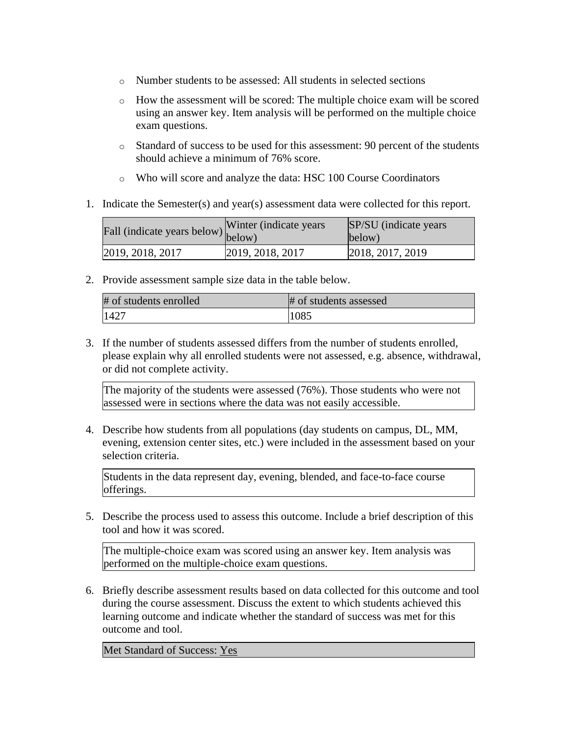- o Number students to be assessed: All students in selected sections
- o How the assessment will be scored: The multiple choice exam will be scored using an answer key. Item analysis will be performed on the multiple choice exam questions.
- o Standard of success to be used for this assessment: 90 percent of the students should achieve a minimum of 76% score.
- o Who will score and analyze the data: HSC 100 Course Coordinators
- 1. Indicate the Semester(s) and year(s) assessment data were collected for this report.

| rall (indicate years below) below) | Winter (indicate years) | SP/SU (indicate years)<br>below) |
|------------------------------------|-------------------------|----------------------------------|
| 2019, 2018, 2017                   | 2019, 2018, 2017        | 2018, 2017, 2019                 |

2. Provide assessment sample size data in the table below.

| # of students enrolled | # of students assessed |
|------------------------|------------------------|
| 1427                   | 1085                   |

3. If the number of students assessed differs from the number of students enrolled, please explain why all enrolled students were not assessed, e.g. absence, withdrawal, or did not complete activity.

The majority of the students were assessed (76%). Those students who were not assessed were in sections where the data was not easily accessible.

4. Describe how students from all populations (day students on campus, DL, MM, evening, extension center sites, etc.) were included in the assessment based on your selection criteria.

Students in the data represent day, evening, blended, and face-to-face course offerings.

5. Describe the process used to assess this outcome. Include a brief description of this tool and how it was scored.

The multiple-choice exam was scored using an answer key. Item analysis was performed on the multiple-choice exam questions.

6. Briefly describe assessment results based on data collected for this outcome and tool during the course assessment. Discuss the extent to which students achieved this learning outcome and indicate whether the standard of success was met for this outcome and tool.

Met Standard of Success: Yes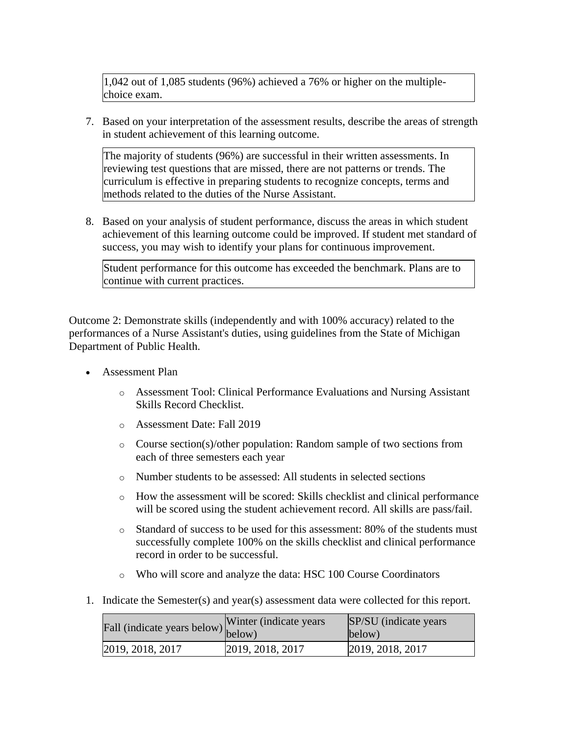1,042 out of 1,085 students (96%) achieved a 76% or higher on the multiplechoice exam.

7. Based on your interpretation of the assessment results, describe the areas of strength in student achievement of this learning outcome.

The majority of students (96%) are successful in their written assessments. In reviewing test questions that are missed, there are not patterns or trends. The curriculum is effective in preparing students to recognize concepts, terms and methods related to the duties of the Nurse Assistant.

8. Based on your analysis of student performance, discuss the areas in which student achievement of this learning outcome could be improved. If student met standard of success, you may wish to identify your plans for continuous improvement.

Student performance for this outcome has exceeded the benchmark. Plans are to continue with current practices.

Outcome 2: Demonstrate skills (independently and with 100% accuracy) related to the performances of a Nurse Assistant's duties, using guidelines from the State of Michigan Department of Public Health.

- Assessment Plan
	- o Assessment Tool: Clinical Performance Evaluations and Nursing Assistant Skills Record Checklist.
	- o Assessment Date: Fall 2019
	- o Course section(s)/other population: Random sample of two sections from each of three semesters each year
	- o Number students to be assessed: All students in selected sections
	- o How the assessment will be scored: Skills checklist and clinical performance will be scored using the student achievement record. All skills are pass/fail.
	- o Standard of success to be used for this assessment: 80% of the students must successfully complete 100% on the skills checklist and clinical performance record in order to be successful.
	- o Who will score and analyze the data: HSC 100 Course Coordinators
- 1. Indicate the Semester(s) and year(s) assessment data were collected for this report.

| Fall (indicate years below) below) | Winter (indicate years) | SP/SU (indicate years)<br>below) |
|------------------------------------|-------------------------|----------------------------------|
| 2019, 2018, 2017                   | 2019, 2018, 2017        | 2019, 2018, 2017                 |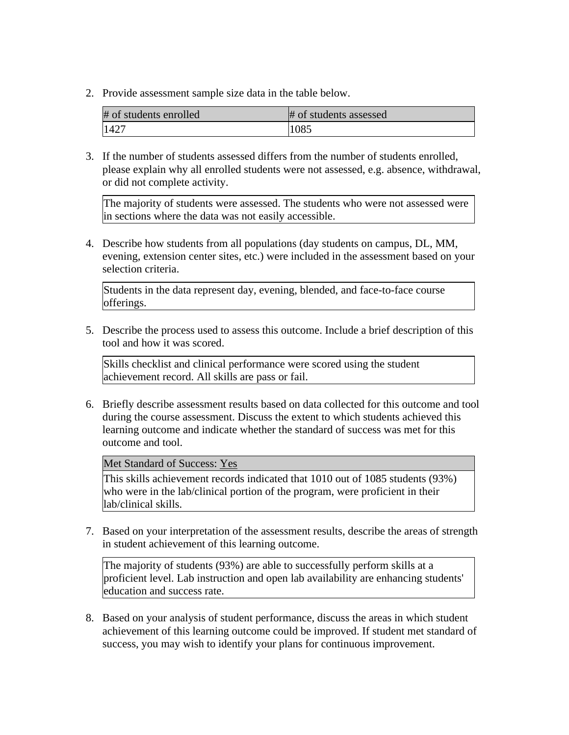2. Provide assessment sample size data in the table below.

| # of students enrolled | # of students assessed |
|------------------------|------------------------|
| 1427                   | 1085                   |

3. If the number of students assessed differs from the number of students enrolled, please explain why all enrolled students were not assessed, e.g. absence, withdrawal, or did not complete activity.

The majority of students were assessed. The students who were not assessed were in sections where the data was not easily accessible.

4. Describe how students from all populations (day students on campus, DL, MM, evening, extension center sites, etc.) were included in the assessment based on your selection criteria.

Students in the data represent day, evening, blended, and face-to-face course offerings.

5. Describe the process used to assess this outcome. Include a brief description of this tool and how it was scored.

Skills checklist and clinical performance were scored using the student achievement record. All skills are pass or fail.

6. Briefly describe assessment results based on data collected for this outcome and tool during the course assessment. Discuss the extent to which students achieved this learning outcome and indicate whether the standard of success was met for this outcome and tool.

Met Standard of Success: Yes

This skills achievement records indicated that 1010 out of 1085 students (93%) who were in the lab/clinical portion of the program, were proficient in their lab/clinical skills.

7. Based on your interpretation of the assessment results, describe the areas of strength in student achievement of this learning outcome.

The majority of students (93%) are able to successfully perform skills at a proficient level. Lab instruction and open lab availability are enhancing students' education and success rate.

8. Based on your analysis of student performance, discuss the areas in which student achievement of this learning outcome could be improved. If student met standard of success, you may wish to identify your plans for continuous improvement.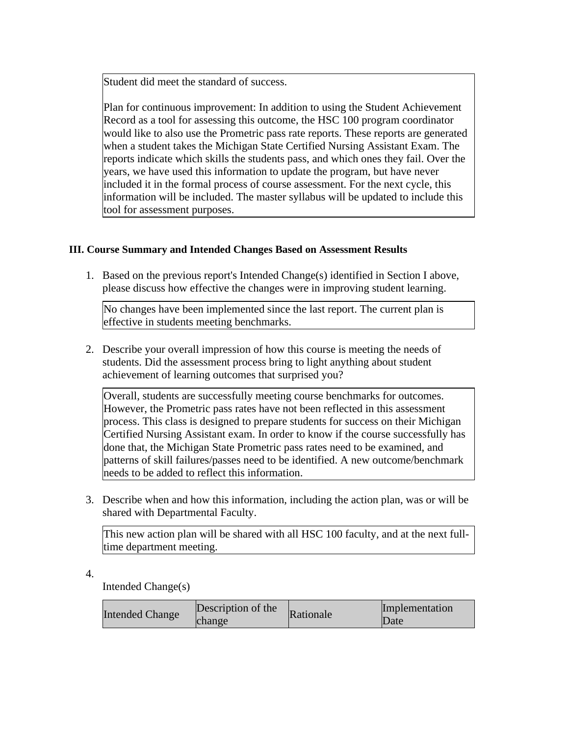Student did meet the standard of success.

Plan for continuous improvement: In addition to using the Student Achievement Record as a tool for assessing this outcome, the HSC 100 program coordinator would like to also use the Prometric pass rate reports. These reports are generated when a student takes the Michigan State Certified Nursing Assistant Exam. The reports indicate which skills the students pass, and which ones they fail. Over the years, we have used this information to update the program, but have never included it in the formal process of course assessment. For the next cycle, this information will be included. The master syllabus will be updated to include this tool for assessment purposes.

# **III. Course Summary and Intended Changes Based on Assessment Results**

1. Based on the previous report's Intended Change(s) identified in Section I above, please discuss how effective the changes were in improving student learning.

No changes have been implemented since the last report. The current plan is effective in students meeting benchmarks.

2. Describe your overall impression of how this course is meeting the needs of students. Did the assessment process bring to light anything about student achievement of learning outcomes that surprised you?

Overall, students are successfully meeting course benchmarks for outcomes. However, the Prometric pass rates have not been reflected in this assessment process. This class is designed to prepare students for success on their Michigan Certified Nursing Assistant exam. In order to know if the course successfully has done that, the Michigan State Prometric pass rates need to be examined, and patterns of skill failures/passes need to be identified. A new outcome/benchmark needs to be added to reflect this information.

3. Describe when and how this information, including the action plan, was or will be shared with Departmental Faculty.

This new action plan will be shared with all HSC 100 faculty, and at the next fulltime department meeting.

4.

Intended Change(s)

| <b>Intended Change</b> | Description of the<br>change | Rationale | Implementation<br>Date |
|------------------------|------------------------------|-----------|------------------------|
|------------------------|------------------------------|-----------|------------------------|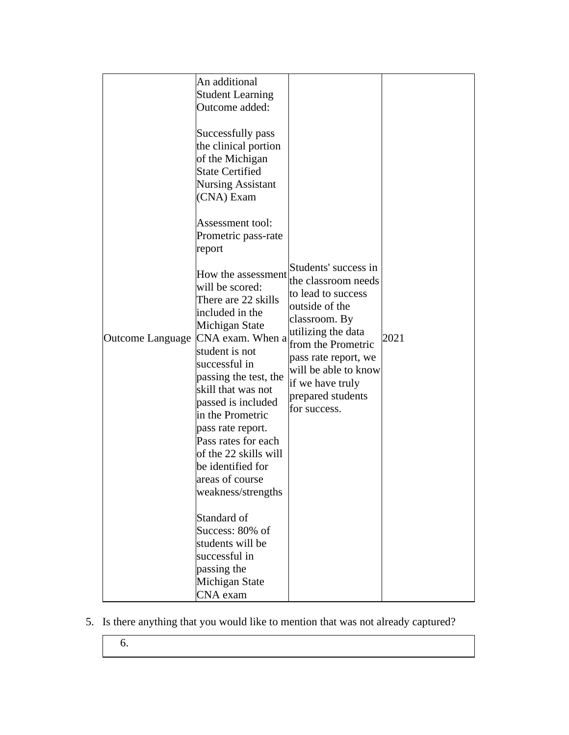| An additional<br><b>Student Learning</b><br>Outcome added:<br>Successfully pass<br>the clinical portion<br>of the Michigan<br><b>State Certified</b><br><b>Nursing Assistant</b><br>(CNA) Exam<br>Assessment tool:<br>Prometric pass-rate<br>report<br>How the assessment<br>will be scored:<br>There are 22 skills<br>included in the<br>Michigan State<br>Outcome Language CNA exam. When a<br>student is not<br>successful in<br>passing the test, the<br>skill that was not<br>passed is included<br>in the Prometric<br>pass rate report.<br>Pass rates for each<br>of the 22 skills will<br>be identified for<br>areas of course<br>weakness/strengths<br>Standard of<br>Success: 80% of<br>students will be | Students' success in<br>the classroom needs<br>to lead to success<br>outside of the<br>classroom. By<br>utilizing the data<br>from the Prometric<br>pass rate report, we<br>will be able to know<br>if we have truly<br>prepared students<br>for success. | 2021 |
|--------------------------------------------------------------------------------------------------------------------------------------------------------------------------------------------------------------------------------------------------------------------------------------------------------------------------------------------------------------------------------------------------------------------------------------------------------------------------------------------------------------------------------------------------------------------------------------------------------------------------------------------------------------------------------------------------------------------|-----------------------------------------------------------------------------------------------------------------------------------------------------------------------------------------------------------------------------------------------------------|------|
| successful in<br>passing the<br><b>Michigan State</b><br>CNA exam                                                                                                                                                                                                                                                                                                                                                                                                                                                                                                                                                                                                                                                  |                                                                                                                                                                                                                                                           |      |

- 5. Is there anything that you would like to mention that was not already captured?
	- 6.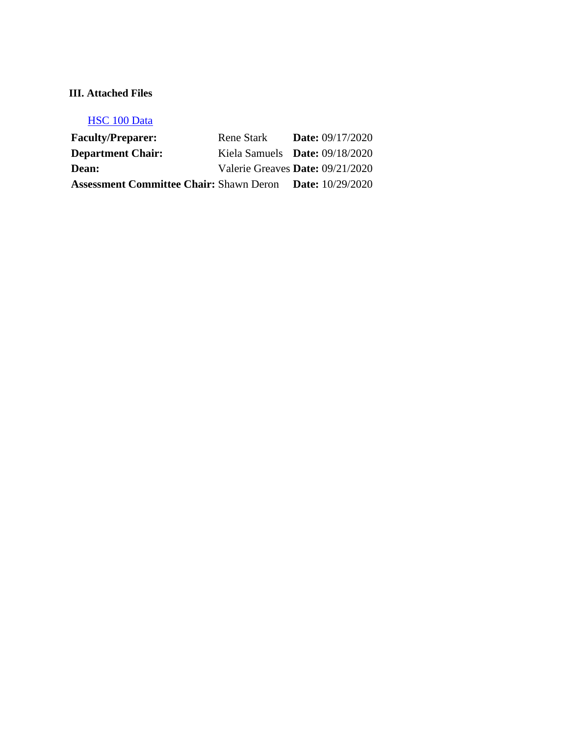# **III. Attached Files**

# [HSC 100 Data](documents/HSC%20100%20data%20course%20assessment%2020201.docx)

| <b>Faculty/Preparer:</b>                       | Rene Stark                       | <b>Date:</b> 09/17/2020   |
|------------------------------------------------|----------------------------------|---------------------------|
| <b>Department Chair:</b>                       | Kiela Samuels Date: $09/18/2020$ |                           |
| <b>Dean:</b>                                   | Valerie Greaves Date: 09/21/2020 |                           |
| <b>Assessment Committee Chair: Shawn Deron</b> |                                  | <b>Date:</b> $10/29/2020$ |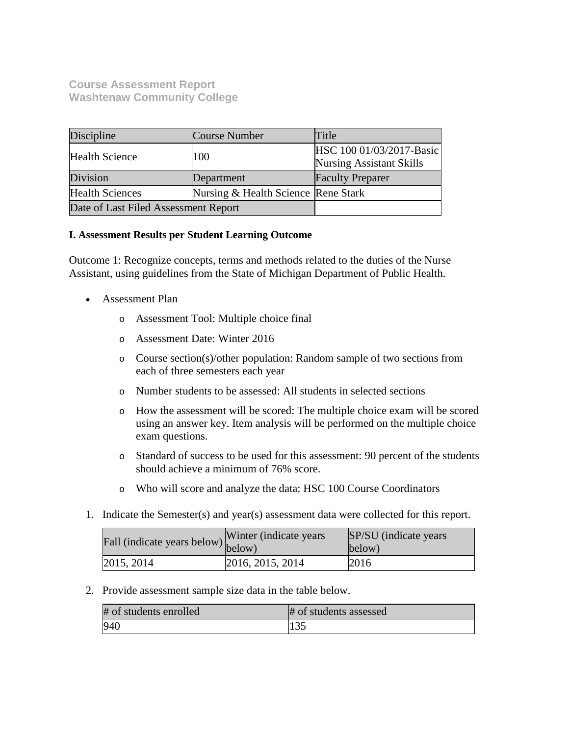# **Course Assessment Report Washtenaw Community College**

| Discipline                           | Course Number                       | Title                                                       |
|--------------------------------------|-------------------------------------|-------------------------------------------------------------|
| <b>Health Science</b>                | 100                                 | HSC 100 01/03/2017-Basic<br><b>Nursing Assistant Skills</b> |
| Division                             | Department                          | <b>Faculty Preparer</b>                                     |
| <b>Health Sciences</b>               | Nursing & Health Science Rene Stark |                                                             |
| Date of Last Filed Assessment Report |                                     |                                                             |

## **I. Assessment Results per Student Learning Outcome**

Outcome 1: Recognize concepts, terms and methods related to the duties of the Nurse Assistant, using guidelines from the State of Michigan Department of Public Health.

- Assessment Plan
	- o Assessment Tool: Multiple choice final
	- o Assessment Date: Winter 2016
	- o Course section(s)/other population: Random sample of two sections from each of three semesters each year
	- o Number students to be assessed: All students in selected sections
	- o How the assessment will be scored: The multiple choice exam will be scored using an answer key. Item analysis will be performed on the multiple choice exam questions.
	- o Standard of success to be used for this assessment: 90 percent of the students should achieve a minimum of 76% score.
	- o Who will score and analyze the data: HSC 100 Course Coordinators
- 1. Indicate the Semester(s) and year(s) assessment data were collected for this report.

| r'all (indicate years below) below) | Winter (indicate years) | SP/SU (indicate years)<br>below) |
|-------------------------------------|-------------------------|----------------------------------|
| 2015, 2014                          | 2016, 2015, 2014        | 2016                             |

2. Provide assessment sample size data in the table below.

| # of students enrolled | # of students assessed |
|------------------------|------------------------|
| 940                    |                        |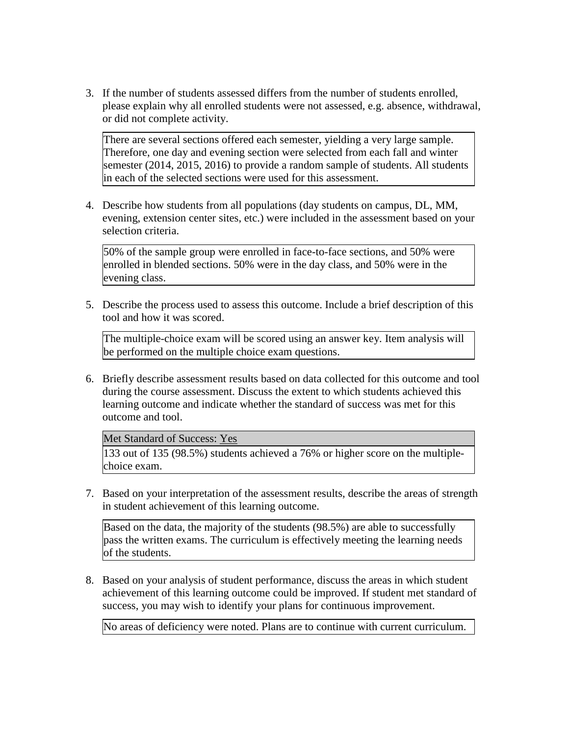3. If the number of students assessed differs from the number of students enrolled, please explain why all enrolled students were not assessed, e.g. absence, withdrawal, or did not complete activity.

There are several sections offered each semester, yielding a very large sample. Therefore, one day and evening section were selected from each fall and winter semester (2014, 2015, 2016) to provide a random sample of students. All students in each of the selected sections were used for this assessment.

4. Describe how students from all populations (day students on campus, DL, MM, evening, extension center sites, etc.) were included in the assessment based on your selection criteria.

50% of the sample group were enrolled in face-to-face sections, and 50% were enrolled in blended sections. 50% were in the day class, and 50% were in the evening class.

5. Describe the process used to assess this outcome. Include a brief description of this tool and how it was scored.

The multiple-choice exam will be scored using an answer key. Item analysis will be performed on the multiple choice exam questions.

6. Briefly describe assessment results based on data collected for this outcome and tool during the course assessment. Discuss the extent to which students achieved this learning outcome and indicate whether the standard of success was met for this outcome and tool.

Met Standard of Success: Yes

133 out of 135 (98.5%) students achieved a 76% or higher score on the multiplechoice exam.

7. Based on your interpretation of the assessment results, describe the areas of strength in student achievement of this learning outcome.

Based on the data, the majority of the students (98.5%) are able to successfully pass the written exams. The curriculum is effectively meeting the learning needs of the students.

8. Based on your analysis of student performance, discuss the areas in which student achievement of this learning outcome could be improved. If student met standard of success, you may wish to identify your plans for continuous improvement.

No areas of deficiency were noted. Plans are to continue with current curriculum.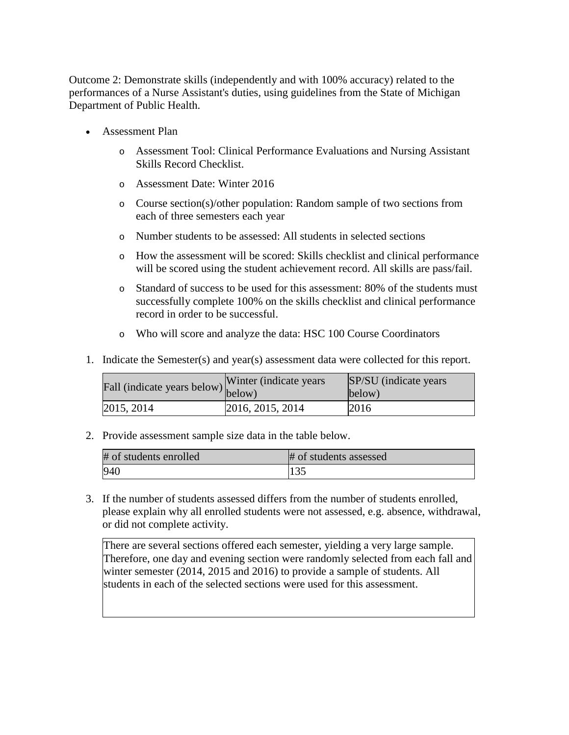Outcome 2: Demonstrate skills (independently and with 100% accuracy) related to the performances of a Nurse Assistant's duties, using guidelines from the State of Michigan Department of Public Health.

- Assessment Plan
	- o Assessment Tool: Clinical Performance Evaluations and Nursing Assistant Skills Record Checklist.
	- o Assessment Date: Winter 2016
	- o Course section(s)/other population: Random sample of two sections from each of three semesters each year
	- o Number students to be assessed: All students in selected sections
	- o How the assessment will be scored: Skills checklist and clinical performance will be scored using the student achievement record. All skills are pass/fail.
	- o Standard of success to be used for this assessment: 80% of the students must successfully complete 100% on the skills checklist and clinical performance record in order to be successful.
	- o Who will score and analyze the data: HSC 100 Course Coordinators
- 1. Indicate the Semester(s) and year(s) assessment data were collected for this report.

| $\angle$ fall (indicate years below) below) | Winter (indicate years) | SP/SU (indicate years)<br>below) |
|---------------------------------------------|-------------------------|----------------------------------|
| 2015, 2014                                  | 2016, 2015, 2014        | 2016                             |

2. Provide assessment sample size data in the table below.

| # of students enrolled | # of students assessed |
|------------------------|------------------------|
| 940                    | 1 J.J                  |

3. If the number of students assessed differs from the number of students enrolled, please explain why all enrolled students were not assessed, e.g. absence, withdrawal, or did not complete activity.

There are several sections offered each semester, yielding a very large sample. Therefore, one day and evening section were randomly selected from each fall and winter semester (2014, 2015 and 2016) to provide a sample of students. All students in each of the selected sections were used for this assessment.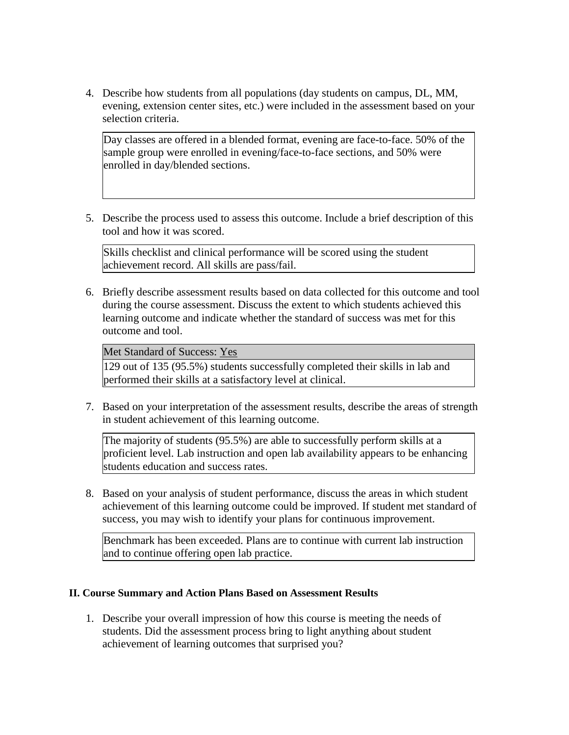4. Describe how students from all populations (day students on campus, DL, MM, evening, extension center sites, etc.) were included in the assessment based on your selection criteria.

Day classes are offered in a blended format, evening are face-to-face. 50% of the sample group were enrolled in evening/face-to-face sections, and 50% were enrolled in day/blended sections.

5. Describe the process used to assess this outcome. Include a brief description of this tool and how it was scored.

Skills checklist and clinical performance will be scored using the student achievement record. All skills are pass/fail.

6. Briefly describe assessment results based on data collected for this outcome and tool during the course assessment. Discuss the extent to which students achieved this learning outcome and indicate whether the standard of success was met for this outcome and tool.

Met Standard of Success: Yes

129 out of 135 (95.5%) students successfully completed their skills in lab and performed their skills at a satisfactory level at clinical.

7. Based on your interpretation of the assessment results, describe the areas of strength in student achievement of this learning outcome.

The majority of students (95.5%) are able to successfully perform skills at a proficient level. Lab instruction and open lab availability appears to be enhancing students education and success rates.

8. Based on your analysis of student performance, discuss the areas in which student achievement of this learning outcome could be improved. If student met standard of success, you may wish to identify your plans for continuous improvement.

Benchmark has been exceeded. Plans are to continue with current lab instruction and to continue offering open lab practice.

## **II. Course Summary and Action Plans Based on Assessment Results**

1. Describe your overall impression of how this course is meeting the needs of students. Did the assessment process bring to light anything about student achievement of learning outcomes that surprised you?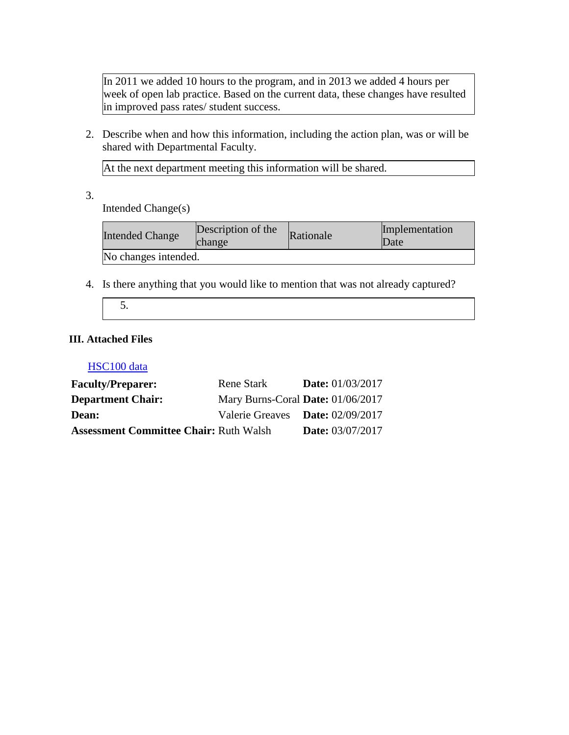In 2011 we added 10 hours to the program, and in 2013 we added 4 hours per week of open lab practice. Based on the current data, these changes have resulted in improved pass rates/ student success.

2. Describe when and how this information, including the action plan, was or will be shared with Departmental Faculty.

At the next department meeting this information will be shared.

3.

Intended Change(s)

| <b>Intended Change</b> | Description of the<br>change | Rationale | Implementation<br>Date |
|------------------------|------------------------------|-----------|------------------------|
| No changes intended.   |                              |           |                        |

4. Is there anything that you would like to mention that was not already captured?

5.

## **III. Attached Files**

### HSC100 data

| <b>Faculty/Preparer:</b>                      | Rene Stark                        | <b>Date:</b> 01/03/2017 |
|-----------------------------------------------|-----------------------------------|-------------------------|
| <b>Department Chair:</b>                      | Mary Burns-Coral Date: 01/06/2017 |                         |
| <b>Dean:</b>                                  | Valerie Greaves Date: 02/09/2017  |                         |
| <b>Assessment Committee Chair: Ruth Walsh</b> |                                   | <b>Date:</b> 03/07/2017 |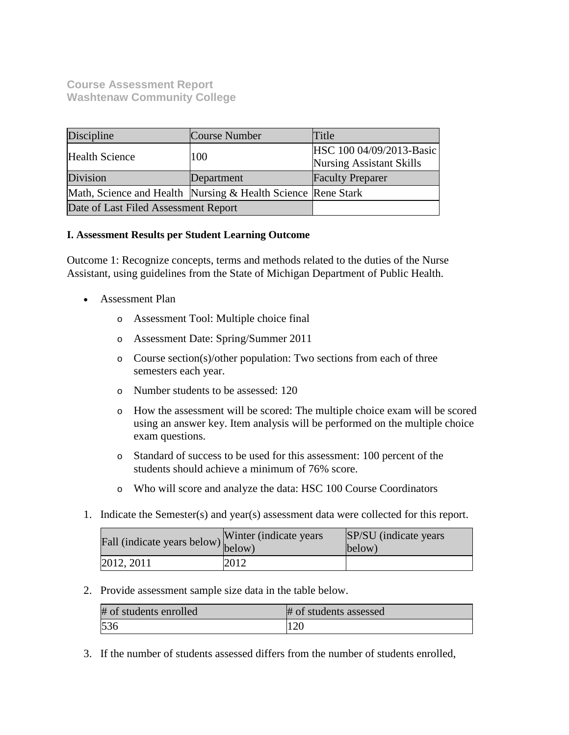# **Course Assessment Report Washtenaw Community College**

| Discipline                           | Course Number                                                | Title                                                       |
|--------------------------------------|--------------------------------------------------------------|-------------------------------------------------------------|
| <b>Health Science</b>                | 100                                                          | HSC 100 04/09/2013-Basic<br><b>Nursing Assistant Skills</b> |
| Division                             | Department                                                   | <b>Faculty Preparer</b>                                     |
|                                      | Math, Science and Health Nursing & Health Science Rene Stark |                                                             |
| Date of Last Filed Assessment Report |                                                              |                                                             |

## **I. Assessment Results per Student Learning Outcome**

Outcome 1: Recognize concepts, terms and methods related to the duties of the Nurse Assistant, using guidelines from the State of Michigan Department of Public Health.

- Assessment Plan
	- o Assessment Tool: Multiple choice final
	- o Assessment Date: Spring/Summer 2011
	- o Course section(s)/other population: Two sections from each of three semesters each year.
	- o Number students to be assessed: 120
	- o How the assessment will be scored: The multiple choice exam will be scored using an answer key. Item analysis will be performed on the multiple choice exam questions.
	- o Standard of success to be used for this assessment: 100 percent of the students should achieve a minimum of 76% score.
	- o Who will score and analyze the data: HSC 100 Course Coordinators
- 1. Indicate the Semester(s) and year(s) assessment data were collected for this report.

| r'all (indicate years below) below) | Winter (indicate years) | SP/SU (indicate years)<br>below) |
|-------------------------------------|-------------------------|----------------------------------|
| 2012, 2011                          | 2012                    |                                  |

2. Provide assessment sample size data in the table below.

| # of students enrolled | # of students assessed |
|------------------------|------------------------|
| 536                    |                        |

3. If the number of students assessed differs from the number of students enrolled,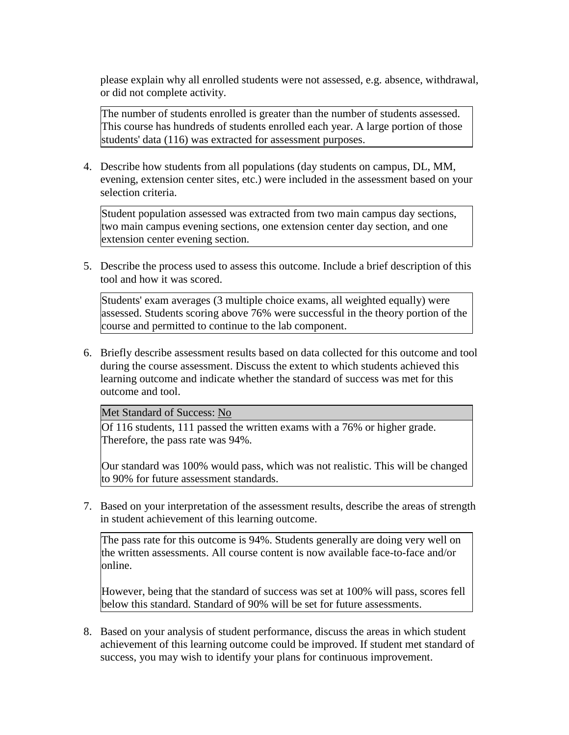please explain why all enrolled students were not assessed, e.g. absence, withdrawal, or did not complete activity.

The number of students enrolled is greater than the number of students assessed. This course has hundreds of students enrolled each year. A large portion of those students' data (116) was extracted for assessment purposes.

4. Describe how students from all populations (day students on campus, DL, MM, evening, extension center sites, etc.) were included in the assessment based on your selection criteria.

Student population assessed was extracted from two main campus day sections, two main campus evening sections, one extension center day section, and one extension center evening section.

5. Describe the process used to assess this outcome. Include a brief description of this tool and how it was scored.

Students' exam averages (3 multiple choice exams, all weighted equally) were assessed. Students scoring above 76% were successful in the theory portion of the course and permitted to continue to the lab component.

6. Briefly describe assessment results based on data collected for this outcome and tool during the course assessment. Discuss the extent to which students achieved this learning outcome and indicate whether the standard of success was met for this outcome and tool.

Met Standard of Success: No

Of 116 students, 111 passed the written exams with a 76% or higher grade. Therefore, the pass rate was 94%.

Our standard was 100% would pass, which was not realistic. This will be changed to 90% for future assessment standards.

7. Based on your interpretation of the assessment results, describe the areas of strength in student achievement of this learning outcome.

The pass rate for this outcome is 94%. Students generally are doing very well on the written assessments. All course content is now available face-to-face and/or online.

However, being that the standard of success was set at 100% will pass, scores fell below this standard. Standard of 90% will be set for future assessments.

8. Based on your analysis of student performance, discuss the areas in which student achievement of this learning outcome could be improved. If student met standard of success, you may wish to identify your plans for continuous improvement.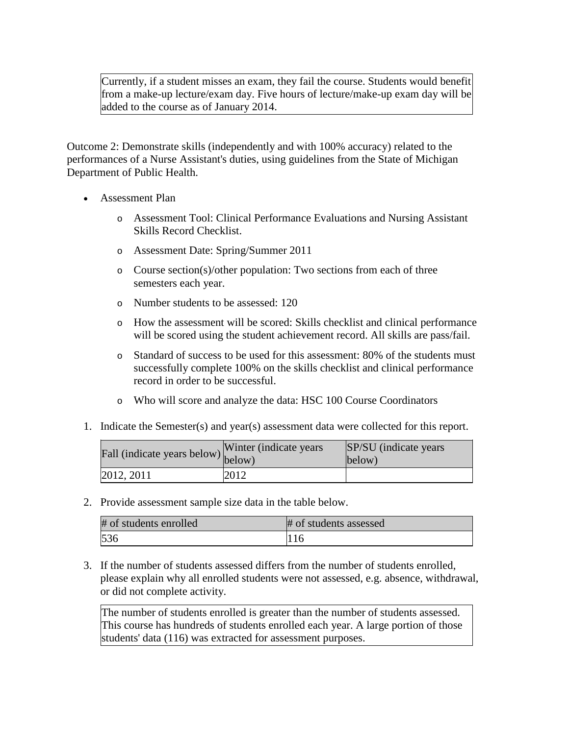Currently, if a student misses an exam, they fail the course. Students would benefit from a make-up lecture/exam day. Five hours of lecture/make-up exam day will be added to the course as of January 2014.

Outcome 2: Demonstrate skills (independently and with 100% accuracy) related to the performances of a Nurse Assistant's duties, using guidelines from the State of Michigan Department of Public Health.

- Assessment Plan
	- o Assessment Tool: Clinical Performance Evaluations and Nursing Assistant Skills Record Checklist.
	- o Assessment Date: Spring/Summer 2011
	- $\circ$  Course section(s)/other population: Two sections from each of three semesters each year.
	- o Number students to be assessed: 120
	- o How the assessment will be scored: Skills checklist and clinical performance will be scored using the student achievement record. All skills are pass/fail.
	- o Standard of success to be used for this assessment: 80% of the students must successfully complete 100% on the skills checklist and clinical performance record in order to be successful.
	- o Who will score and analyze the data: HSC 100 Course Coordinators
- 1. Indicate the Semester(s) and year(s) assessment data were collected for this report.

| Fall (indicate years below) below) | Winter (indicate years) | SP/SU (indicate years)<br>below) |
|------------------------------------|-------------------------|----------------------------------|
| 2012, 2011                         | 2012                    |                                  |

2. Provide assessment sample size data in the table below.

| # of students enrolled | # of students assessed |
|------------------------|------------------------|
| 536                    |                        |

3. If the number of students assessed differs from the number of students enrolled, please explain why all enrolled students were not assessed, e.g. absence, withdrawal, or did not complete activity.

The number of students enrolled is greater than the number of students assessed. This course has hundreds of students enrolled each year. A large portion of those students' data (116) was extracted for assessment purposes.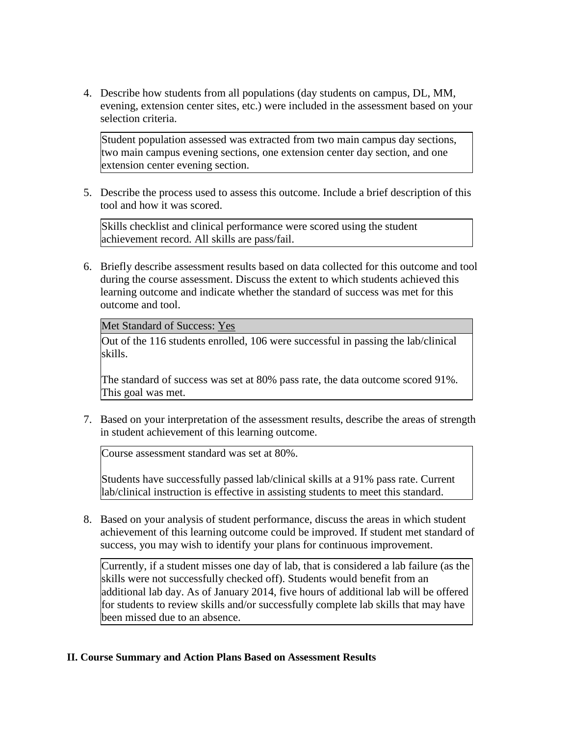4. Describe how students from all populations (day students on campus, DL, MM, evening, extension center sites, etc.) were included in the assessment based on your selection criteria.

Student population assessed was extracted from two main campus day sections, two main campus evening sections, one extension center day section, and one extension center evening section.

5. Describe the process used to assess this outcome. Include a brief description of this tool and how it was scored.

Skills checklist and clinical performance were scored using the student achievement record. All skills are pass/fail.

6. Briefly describe assessment results based on data collected for this outcome and tool during the course assessment. Discuss the extent to which students achieved this learning outcome and indicate whether the standard of success was met for this outcome and tool.

Met Standard of Success: Yes

Out of the 116 students enrolled, 106 were successful in passing the lab/clinical skills.

The standard of success was set at 80% pass rate, the data outcome scored 91%. This goal was met.

7. Based on your interpretation of the assessment results, describe the areas of strength in student achievement of this learning outcome.

Course assessment standard was set at 80%.

Students have successfully passed lab/clinical skills at a 91% pass rate. Current lab/clinical instruction is effective in assisting students to meet this standard.

8. Based on your analysis of student performance, discuss the areas in which student achievement of this learning outcome could be improved. If student met standard of success, you may wish to identify your plans for continuous improvement.

Currently, if a student misses one day of lab, that is considered a lab failure (as the skills were not successfully checked off). Students would benefit from an additional lab day. As of January 2014, five hours of additional lab will be offered for students to review skills and/or successfully complete lab skills that may have been missed due to an absence.

## **II. Course Summary and Action Plans Based on Assessment Results**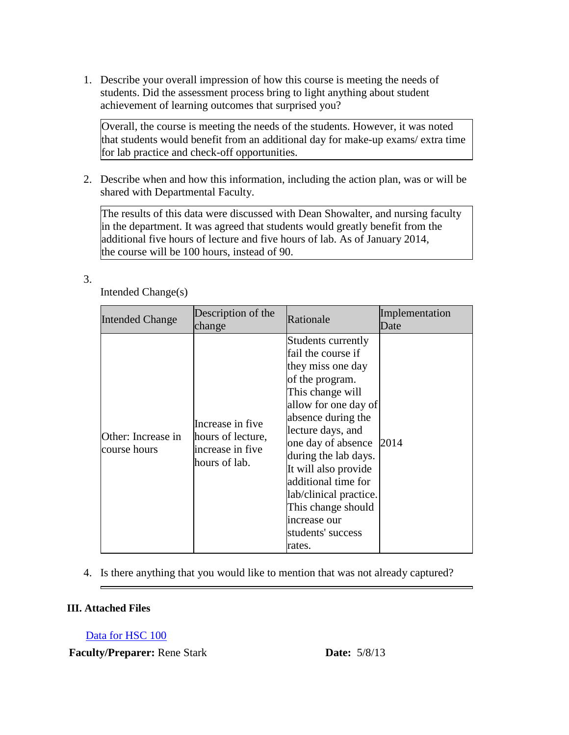1. Describe your overall impression of how this course is meeting the needs of students. Did the assessment process bring to light anything about student achievement of learning outcomes that surprised you?

Overall, the course is meeting the needs of the students. However, it was noted that students would benefit from an additional day for make-up exams/ extra time for lab practice and check-off opportunities.

2. Describe when and how this information, including the action plan, was or will be shared with Departmental Faculty.

The results of this data were discussed with Dean Showalter, and nursing faculty in the department. It was agreed that students would greatly benefit from the additional five hours of lecture and five hours of lab. As of January 2014, the course will be 100 hours, instead of 90.

3.

| <b>Intended Change</b>             | Description of the<br>change                                               | Rationale                                                                                                                                                                                                                                                                                                                                                           | Implementation<br>Date |
|------------------------------------|----------------------------------------------------------------------------|---------------------------------------------------------------------------------------------------------------------------------------------------------------------------------------------------------------------------------------------------------------------------------------------------------------------------------------------------------------------|------------------------|
| Other: Increase in<br>course hours | Increase in five<br>hours of lecture,<br>increase in five<br>hours of lab. | Students currently<br>fail the course if<br>they miss one day<br>of the program.<br>This change will<br>allow for one day of<br>absence during the<br>lecture days, and<br>one day of absence<br>during the lab days.<br>It will also provide<br>additional time for<br>lab/clinical practice.<br>This change should<br>increase our<br>students' success<br>rates. | 2014                   |

Intended Change(s)

4. Is there anything that you would like to mention that was not already captured?

## **III. Attached Files**

Data for HSC 100

**Faculty/Preparer:** Rene Stark **Date:** 5/8/13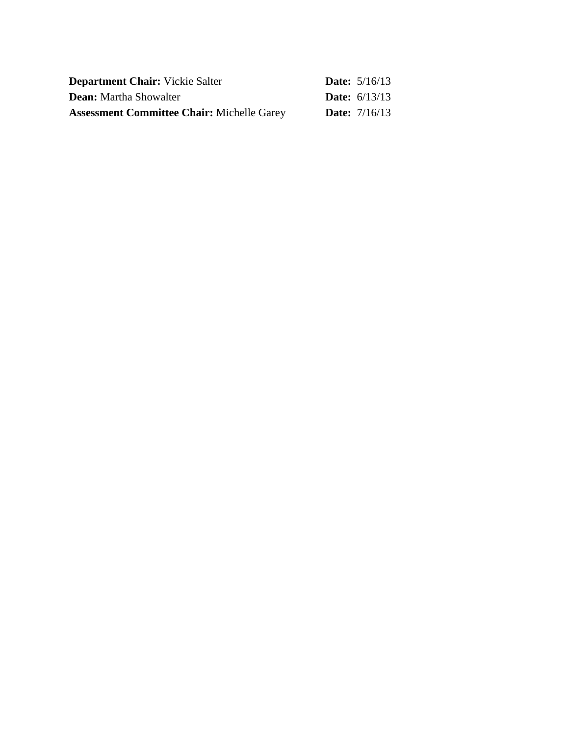| <b>Department Chair:</b> Vickie Salter            | <b>Date:</b> $5/16/13$ |
|---------------------------------------------------|------------------------|
| <b>Dean:</b> Martha Showalter                     | <b>Date:</b> $6/13/13$ |
| <b>Assessment Committee Chair: Michelle Garey</b> | <b>Date:</b> $7/16/13$ |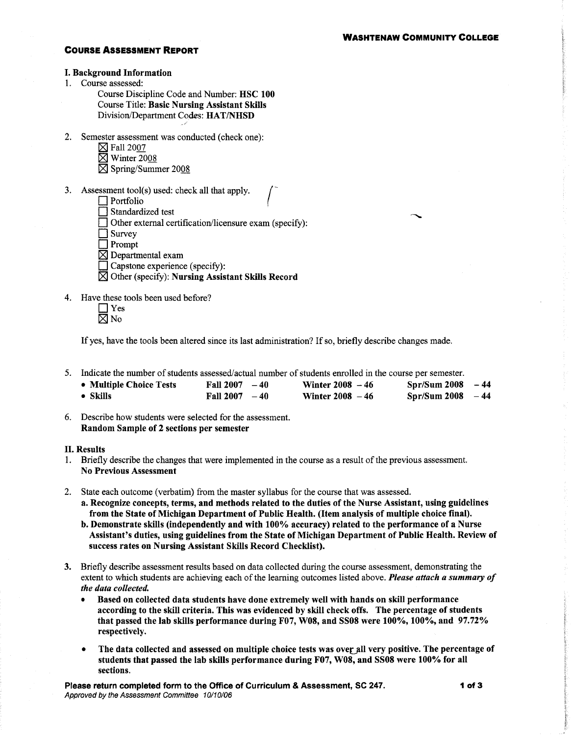#### **COURSE ASSESSMENT REPORT**

#### **I. Background Information**

1. Course assessed:

Course Discipline Code and Number: HSC 100 **Course Title: Basic Nursing Assistant Skills** Division/Department Codes: HAT/NHSD

- 2. Semester assessment was conducted (check one):
	- $\boxtimes$  Fall 2007
	- $\overline{\boxtimes}$  Winter 2008
	- ⊠ Spring/Summer 2008
- 3. Assessment tool(s) used: check all that apply.
	- $\Box$  Portfolio
	- $\Box$  Standardized test
	- □ Other external certification/licensure exam (specify):
	- $\Box$  Survey

 $\Box$  Prompt

- $\boxtimes$  Departmental exam
- Capstone experience (specify):
- $\boxtimes$  Other (specify): Nursing Assistant Skills Record
- 4. Have these tools been used before?
	- $\Box$  Yes  $\overline{\boxtimes}$  No

If yes, have the tools been altered since its last administration? If so, briefly describe changes made.

5. Indicate the number of students assessed/actual number of students enrolled in the course per semester.

| • Multiple Choice Tests | Fall $2007 - 40$ | <b>Winter 2008</b> $-46$ | $Spr/Sum 2008 - 44$ |  |
|-------------------------|------------------|--------------------------|---------------------|--|
| $\bullet$ Skills        | Fall $2007 - 40$ | Winter $2008 - 46$       | $Spr/Sum 2008 -44$  |  |

6. Describe how students were selected for the assessment. Random Sample of 2 sections per semester

#### **II. Results**

- 1. Briefly describe the changes that were implemented in the course as a result of the previous assessment. **No Previous Assessment**
- 2. State each outcome (verbatim) from the master syllabus for the course that was assessed.
	- a. Recognize concepts, terms, and methods related to the duties of the Nurse Assistant, using guidelines from the State of Michigan Department of Public Health. (Item analysis of multiple choice final).
	- b. Demonstrate skills (independently and with 100% accuracy) related to the performance of a Nurse Assistant's duties, using guidelines from the State of Michigan Department of Public Health. Review of success rates on Nursing Assistant Skills Record Checklist).
- 3. Briefly describe assessment results based on data collected during the course assessment, demonstrating the extent to which students are achieving each of the learning outcomes listed above. Please attach a summary of the data collected.
	- Based on collected data students have done extremely well with hands on skill performance according to the skill criteria. This was evidenced by skill check offs. The percentage of students that passed the lab skills performance during F07, W08, and SS08 were 100%, 100%, and 97.72% respectively.
	- The data collected and assessed on multiple choice tests was over all very positive. The percentage of students that passed the lab skills performance during F07, W08, and SS08 were 100% for all sections.

Please return completed form to the Office of Curriculum & Assessment, SC 247. Approved by the Assessment Committee 10/10/06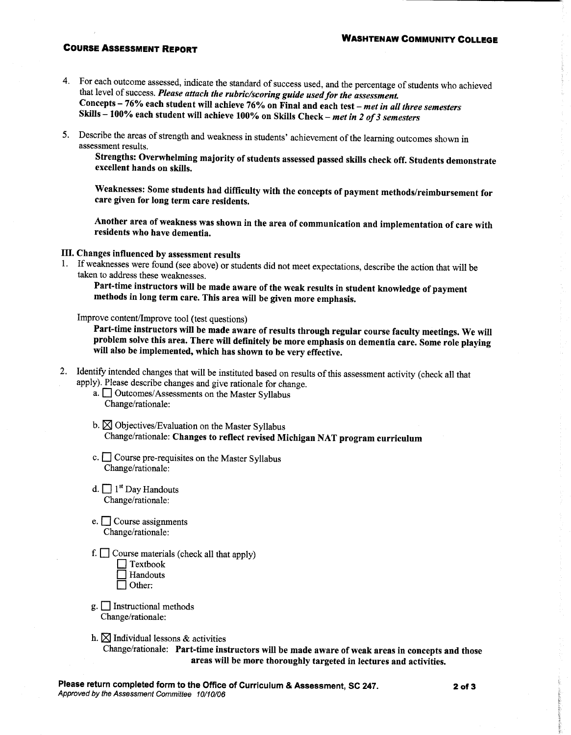#### **COURSE ASSESSMENT REPORT**

- 4. For each outcome assessed, indicate the standard of success used, and the percentage of students who achieved that level of success. Please attach the rubric/scoring guide used for the assessment. Concepts - 76% each student will achieve 76% on Final and each test - met in all three semesters Skills - 100% each student will achieve 100% on Skills Check - met in 2 of 3 semesters
- 5. Describe the areas of strength and weakness in students' achievement of the learning outcomes shown in assessment results.

Strengths: Overwhelming majority of students assessed passed skills check off. Students demonstrate excellent hands on skills.

Weaknesses: Some students had difficulty with the concepts of payment methods/reimbursement for care given for long term care residents.

Another area of weakness was shown in the area of communication and implementation of care with residents who have dementia.

III. Changes influenced by assessment results

1. If weaknesses were found (see above) or students did not meet expectations, describe the action that will be taken to address these weaknesses.

Part-time instructors will be made aware of the weak results in student knowledge of payment methods in long term care. This area will be given more emphasis.

Improve content/Improve tool (test questions)

Part-time instructors will be made aware of results through regular course faculty meetings. We will problem solve this area. There will definitely be more emphasis on dementia care. Some role playing will also be implemented, which has shown to be very effective.

2. Identify intended changes that will be instituted based on results of this assessment activity (check all that apply). Please describe changes and give rationale for change.

a. <u>Outcomes/Assessments</u> on the Master Syllabus Change/rationale:

- b.  $\boxtimes$  Objectives/Evaluation on the Master Syllabus Change/rationale: Changes to reflect revised Michigan NAT program curriculum
- c. <u>Course</u> pre-requisites on the Master Syllabus Change/rationale:
- $d. \Box$  1<sup>st</sup> Day Handouts Change/rationale:
- e.  $\Box$  Course assignments Change/rationale:
- f.  $\Box$  Course materials (check all that apply)

| l Textbook |
|------------|
| □ Handouts |
| Other:     |

- $g.$  Instructional methods Change/rationale:
- h.  $\boxtimes$  Individual lessons & activities

Change/rationale: Part-time instructors will be made aware of weak areas in concepts and those areas will be more thoroughly targeted in lectures and activities.